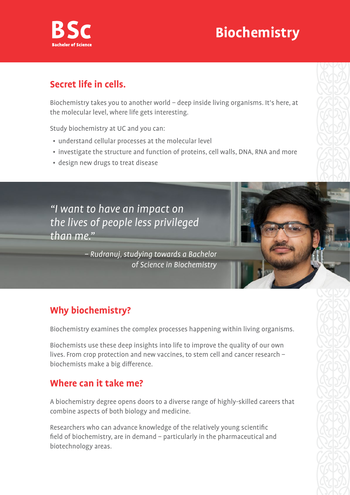

# **Biochemistry**

### **Secret life in cells.**

Biochemistry takes you to another world – deep inside living organisms. It's here, at the molecular level, where life gets interesting.

Study biochemistry at UC and you can:

- understand cellular processes at the molecular level
- investigate the structure and function of proteins, cell walls, DNA, RNA and more
- design new drugs to treat disease

"I want to have an impact on the lives of people less privileged than me"

> – Rudranuj, studying towards a Bachelor of Science in Biochemistry

## **Why biochemistry?**

Biochemistry examines the complex processes happening within living organisms.

Biochemists use these deep insights into life to improve the quality of our own lives. From crop protection and new vaccines, to stem cell and cancer research – biochemists make a big difference.

#### **Where can it take me?**

A biochemistry degree opens doors to a diverse range of highly-skilled careers that combine aspects of both biology and medicine.

Researchers who can advance knowledge of the relatively young scientific field of biochemistry, are in demand – particularly in the pharmaceutical and biotechnology areas.